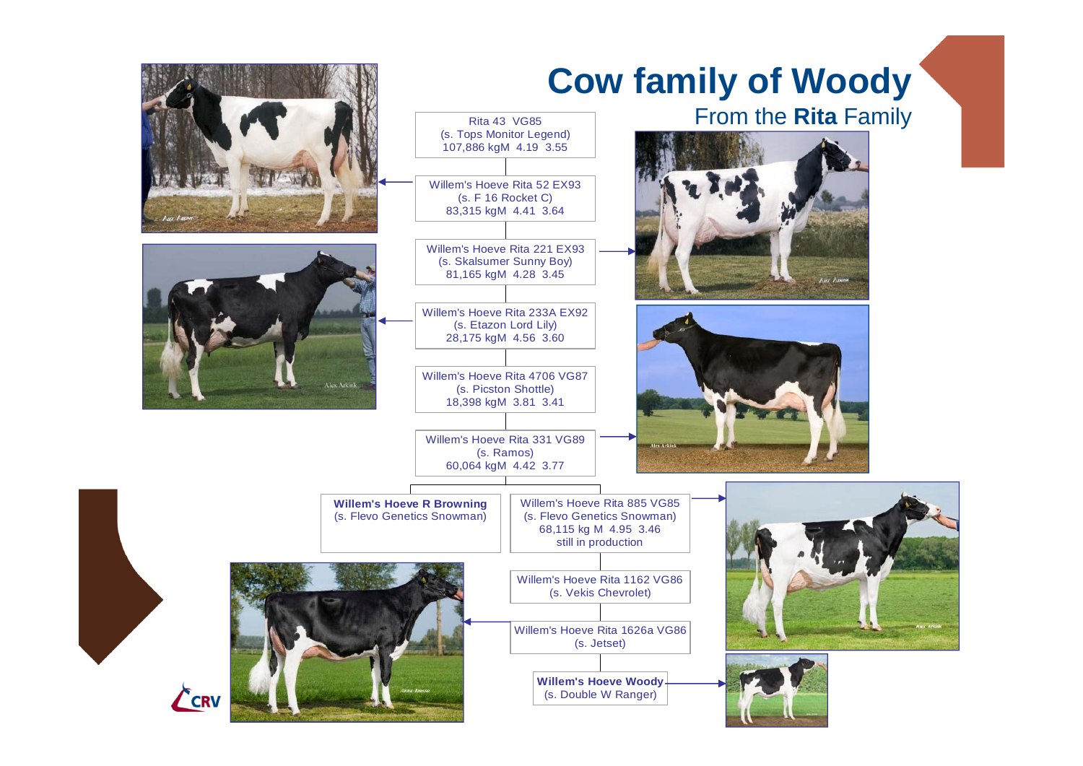